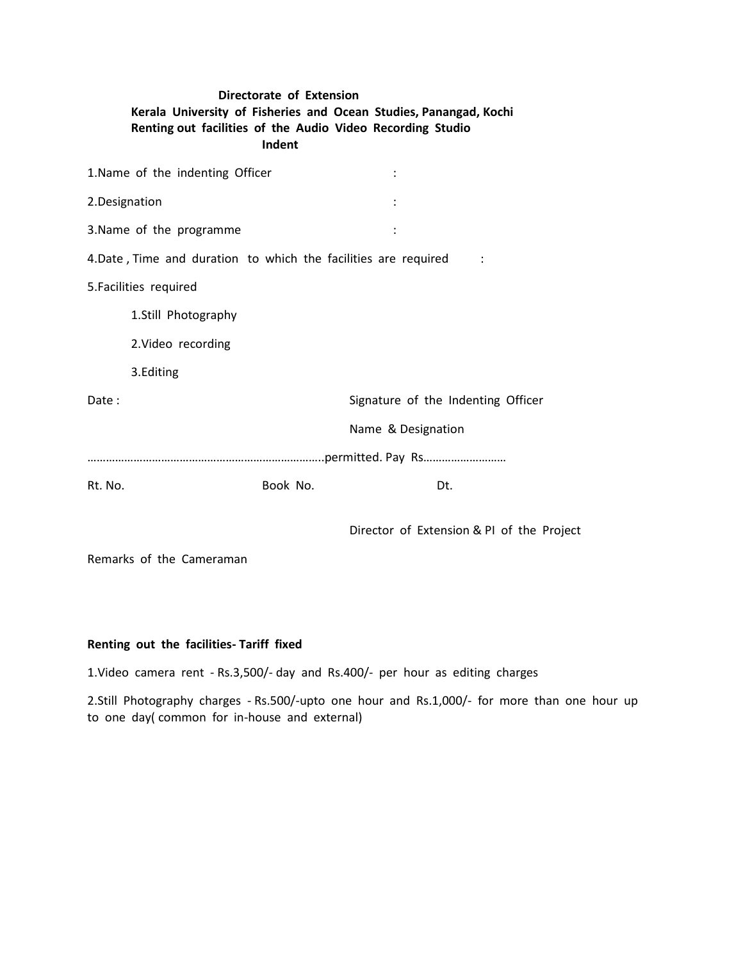# **Directorate of Extension Kerala University of Fisheries and Ocean Studies, Panangad, Kochi Renting out facilities of the Audio Video Recording Studio Indent** 1. Name of the indenting Officer in the set of the indenting Officer in the set of the set of the set of the set of the set of the set of the set of the set of the set of the set of the set of the set of the set of the set

| 2.Designation                                                  |          |                                           |
|----------------------------------------------------------------|----------|-------------------------------------------|
| 3. Name of the programme                                       |          |                                           |
| 4.Date, Time and duration to which the facilities are required |          |                                           |
| 5. Facilities required                                         |          |                                           |
| 1.Still Photography                                            |          |                                           |
| 2. Video recording                                             |          |                                           |
| 3.Editing                                                      |          |                                           |
| Date:                                                          |          | Signature of the Indenting Officer        |
|                                                                |          | Name & Designation                        |
|                                                                |          |                                           |
| Rt. No.                                                        | Book No. | Dt.                                       |
|                                                                |          |                                           |
|                                                                |          | Director of Extension & PI of the Project |

Remarks of the Cameraman

### **Renting out the facilities- Tariff fixed**

1.Video camera rent - Rs.3,500/- day and Rs.400/- per hour as editing charges

2.Still Photography charges - Rs.500/-upto one hour and Rs.1,000/- for more than one hour up to one day( common for in-house and external)